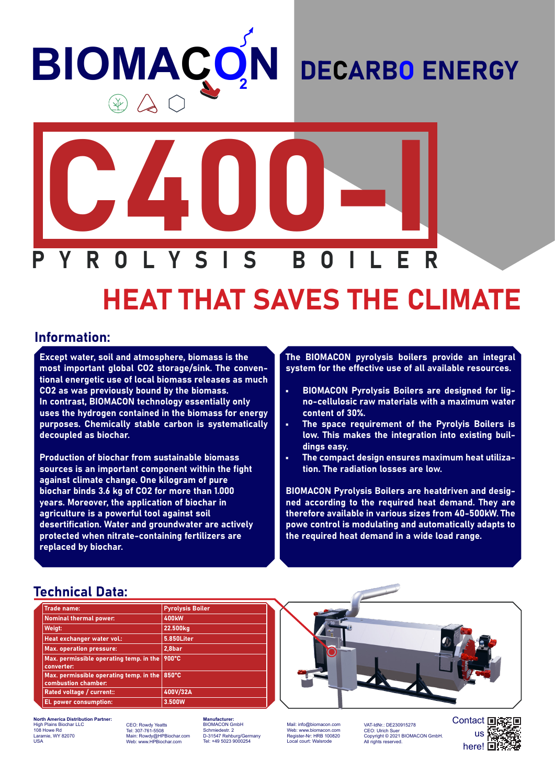# **BIOMAÇO N**

### DECARBO ENERGY



## HEAT THAT SAVES THE CLIMATE

#### Information:

Except water, soil and atmosphere, biomass is the most important global CO2 storage/sink. The conventional energetic use of local biomass releases as much CO2 as was previously bound by the biomass. In contrast, BIOMACON technology essentially only uses the hydrogen contained in the biomass for energy purposes. Chemically stable carbon is systematically decoupled as biochar.

Production of biochar from sustainable biomass sources is an important component within the fight against climate change. One kilogram of pure biochar binds 3.6 kg of CO2 for more than 1.000 years. Moreover, the application of biochar in agriculture is a powerful tool against soil desertification. Water and groundwater are actively protected when nitrate-containing fertilizers are replaced by biochar.

The BIOMACON pyrolysis boilers provide an integral system for the effective use of all available resources.

- BIOMACON Pyrolysis Boilers are designed for ligno-cellulosic raw materials with a maximum water content of 30%.
- The space requirement of the Pyrolyis Boilers is low. This makes the integration into existing buildings easy.
- The compact design ensures maximum heat utilization. The radiation losses are low.

BIOMACON Pyrolysis Boilers are heatdriven and designed according to the required heat demand. They are therefore available in various sizes from 40-500kW. The powe control is modulating and automatically adapts to the required heat demand in a wide load range.

#### Technical Data:

| <b>Trade name:</b>                                             | <b>Pyrolysis Boiler</b> |
|----------------------------------------------------------------|-------------------------|
| <b>Nominal thermal power:</b>                                  | <b>400kW</b>            |
| Weigt:                                                         | 22.500kg                |
| Heat exchanger water vol.:                                     | 5.850Liter              |
| <b>Max. operation pressure:</b>                                | 2,8bar                  |
| Max. permissible operating temp. in the<br>converter:          | 900°C                   |
| Max. permissible operating temp. in the<br>combustion chamber: | $ 850^{\circ}$ C        |
| Rated voltage / current::                                      | 400V/32A                |
| El. power consumption:                                         | 3.500W                  |

**North America Distribution Partner:** High Plains Biochar LLC 108 Howe Rd mie, WY 82070 USA

CEO: Rowdy Yeatts Tel: 307-761-5508 Main: Rowdy@HPBiochar.com Web: www.HPBiochar.com

**Mufacturer:** BIOMACON GmbH Schmiedestr. 2 D-31547 Rehburg/Germany Tel: +49 5023 9000254

Mail: info@biomacon.com Web: www.biomacon.com Register-Nr: HRB 100820 Local court: Walsrode

VAT-IdNr.: DE230915278<br>CEO: Ulrich Suer CEO: Ulrich Suer Copyright © 2021 BIOMACON GmbH. All rights reserved.